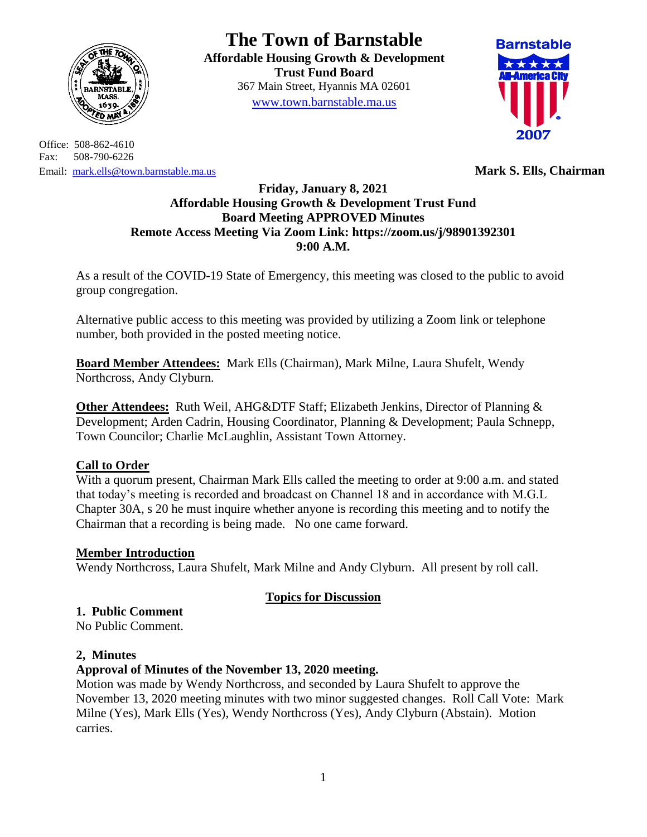

Office: 508-862-4610 Fax: 508-790-6226 Email: [mark.ells@town.barnstable.ma.us](mailto:mark.ells@town.barnstable.ma.us) **Mark S. Ells, Chairman**

**The Town of Barnstable Affordable Housing Growth & Development Trust Fund Board**  367 Main Street, Hyannis MA 02601 [www.town.barnstable.ma.us](http://www.town.barnstable.ma.us/)



## **Friday, January 8, 2021 Affordable Housing Growth & Development Trust Fund Board Meeting APPROVED Minutes Remote Access Meeting Via Zoom Link: https://zoom.us/j/98901392301 9:00 A.M.**

As a result of the COVID-19 State of Emergency, this meeting was closed to the public to avoid group congregation.

Alternative public access to this meeting was provided by utilizing a Zoom link or telephone number, both provided in the posted meeting notice.

**Board Member Attendees:** Mark Ells (Chairman), Mark Milne, Laura Shufelt, Wendy Northcross, Andy Clyburn.

**Other Attendees:** Ruth Weil, AHG&DTF Staff; Elizabeth Jenkins, Director of Planning & Development; Arden Cadrin, Housing Coordinator, Planning & Development; Paula Schnepp, Town Councilor; Charlie McLaughlin, Assistant Town Attorney.

# **Call to Order**

With a quorum present, Chairman Mark Ells called the meeting to order at 9:00 a.m. and stated that today's meeting is recorded and broadcast on Channel 18 and in accordance with M.G.L Chapter 30A, s 20 he must inquire whether anyone is recording this meeting and to notify the Chairman that a recording is being made. No one came forward.

### **Member Introduction**

Wendy Northcross, Laura Shufelt, Mark Milne and Andy Clyburn. All present by roll call.

# **Topics for Discussion**

# **1. Public Comment**

No Public Comment.

### **2, Minutes**

# **Approval of Minutes of the November 13, 2020 meeting.**

Motion was made by Wendy Northcross, and seconded by Laura Shufelt to approve the November 13, 2020 meeting minutes with two minor suggested changes. Roll Call Vote: Mark Milne (Yes), Mark Ells (Yes), Wendy Northcross (Yes), Andy Clyburn (Abstain). Motion carries.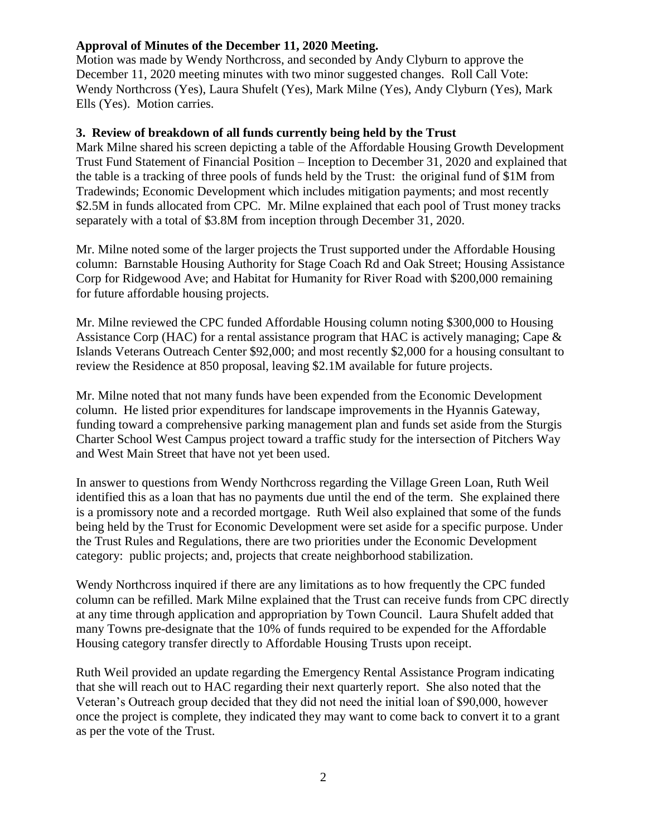### **Approval of Minutes of the December 11, 2020 Meeting.**

Motion was made by Wendy Northcross, and seconded by Andy Clyburn to approve the December 11, 2020 meeting minutes with two minor suggested changes. Roll Call Vote: Wendy Northcross (Yes), Laura Shufelt (Yes), Mark Milne (Yes), Andy Clyburn (Yes), Mark Ells (Yes). Motion carries.

#### **3. Review of breakdown of all funds currently being held by the Trust**

Mark Milne shared his screen depicting a table of the Affordable Housing Growth Development Trust Fund Statement of Financial Position – Inception to December 31, 2020 and explained that the table is a tracking of three pools of funds held by the Trust: the original fund of \$1M from Tradewinds; Economic Development which includes mitigation payments; and most recently \$2.5M in funds allocated from CPC. Mr. Milne explained that each pool of Trust money tracks separately with a total of \$3.8M from inception through December 31, 2020.

Mr. Milne noted some of the larger projects the Trust supported under the Affordable Housing column: Barnstable Housing Authority for Stage Coach Rd and Oak Street; Housing Assistance Corp for Ridgewood Ave; and Habitat for Humanity for River Road with \$200,000 remaining for future affordable housing projects.

Mr. Milne reviewed the CPC funded Affordable Housing column noting \$300,000 to Housing Assistance Corp (HAC) for a rental assistance program that HAC is actively managing; Cape & Islands Veterans Outreach Center \$92,000; and most recently \$2,000 for a housing consultant to review the Residence at 850 proposal, leaving \$2.1M available for future projects.

Mr. Milne noted that not many funds have been expended from the Economic Development column. He listed prior expenditures for landscape improvements in the Hyannis Gateway, funding toward a comprehensive parking management plan and funds set aside from the Sturgis Charter School West Campus project toward a traffic study for the intersection of Pitchers Way and West Main Street that have not yet been used.

In answer to questions from Wendy Northcross regarding the Village Green Loan, Ruth Weil identified this as a loan that has no payments due until the end of the term. She explained there is a promissory note and a recorded mortgage. Ruth Weil also explained that some of the funds being held by the Trust for Economic Development were set aside for a specific purpose. Under the Trust Rules and Regulations, there are two priorities under the Economic Development category: public projects; and, projects that create neighborhood stabilization.

Wendy Northcross inquired if there are any limitations as to how frequently the CPC funded column can be refilled. Mark Milne explained that the Trust can receive funds from CPC directly at any time through application and appropriation by Town Council. Laura Shufelt added that many Towns pre-designate that the 10% of funds required to be expended for the Affordable Housing category transfer directly to Affordable Housing Trusts upon receipt.

Ruth Weil provided an update regarding the Emergency Rental Assistance Program indicating that she will reach out to HAC regarding their next quarterly report. She also noted that the Veteran's Outreach group decided that they did not need the initial loan of \$90,000, however once the project is complete, they indicated they may want to come back to convert it to a grant as per the vote of the Trust.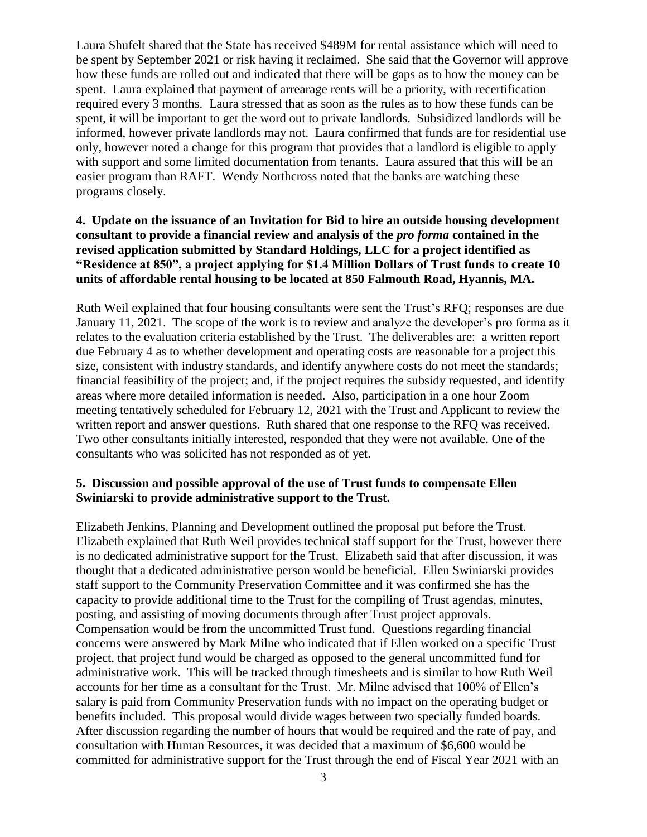Laura Shufelt shared that the State has received \$489M for rental assistance which will need to be spent by September 2021 or risk having it reclaimed. She said that the Governor will approve how these funds are rolled out and indicated that there will be gaps as to how the money can be spent. Laura explained that payment of arrearage rents will be a priority, with recertification required every 3 months. Laura stressed that as soon as the rules as to how these funds can be spent, it will be important to get the word out to private landlords. Subsidized landlords will be informed, however private landlords may not. Laura confirmed that funds are for residential use only, however noted a change for this program that provides that a landlord is eligible to apply with support and some limited documentation from tenants. Laura assured that this will be an easier program than RAFT. Wendy Northcross noted that the banks are watching these programs closely.

### **4. Update on the issuance of an Invitation for Bid to hire an outside housing development consultant to provide a financial review and analysis of the** *pro forma* **contained in the revised application submitted by Standard Holdings, LLC for a project identified as "Residence at 850", a project applying for \$1.4 Million Dollars of Trust funds to create 10 units of affordable rental housing to be located at 850 Falmouth Road, Hyannis, MA.**

Ruth Weil explained that four housing consultants were sent the Trust's RFQ; responses are due January 11, 2021. The scope of the work is to review and analyze the developer's pro forma as it relates to the evaluation criteria established by the Trust. The deliverables are: a written report due February 4 as to whether development and operating costs are reasonable for a project this size, consistent with industry standards, and identify anywhere costs do not meet the standards; financial feasibility of the project; and, if the project requires the subsidy requested, and identify areas where more detailed information is needed. Also, participation in a one hour Zoom meeting tentatively scheduled for February 12, 2021 with the Trust and Applicant to review the written report and answer questions. Ruth shared that one response to the RFQ was received. Two other consultants initially interested, responded that they were not available. One of the consultants who was solicited has not responded as of yet.

#### **5. Discussion and possible approval of the use of Trust funds to compensate Ellen Swiniarski to provide administrative support to the Trust.**

Elizabeth Jenkins, Planning and Development outlined the proposal put before the Trust. Elizabeth explained that Ruth Weil provides technical staff support for the Trust, however there is no dedicated administrative support for the Trust. Elizabeth said that after discussion, it was thought that a dedicated administrative person would be beneficial. Ellen Swiniarski provides staff support to the Community Preservation Committee and it was confirmed she has the capacity to provide additional time to the Trust for the compiling of Trust agendas, minutes, posting, and assisting of moving documents through after Trust project approvals. Compensation would be from the uncommitted Trust fund. Questions regarding financial concerns were answered by Mark Milne who indicated that if Ellen worked on a specific Trust project, that project fund would be charged as opposed to the general uncommitted fund for administrative work. This will be tracked through timesheets and is similar to how Ruth Weil accounts for her time as a consultant for the Trust. Mr. Milne advised that 100% of Ellen's salary is paid from Community Preservation funds with no impact on the operating budget or benefits included. This proposal would divide wages between two specially funded boards. After discussion regarding the number of hours that would be required and the rate of pay, and consultation with Human Resources, it was decided that a maximum of \$6,600 would be committed for administrative support for the Trust through the end of Fiscal Year 2021 with an